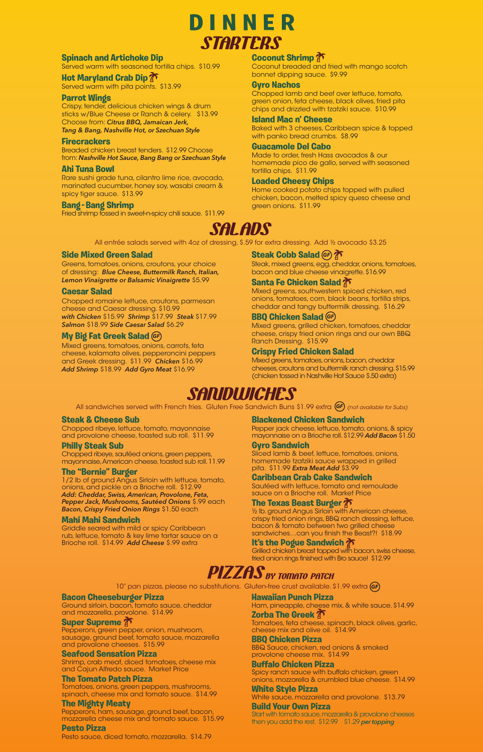### **Side Mixed Green Salad**

Greens, tomatoes, onions, croutons, your choice of dressing: *Blue Cheese, Buttermilk Ranch, Italian, Lemon Vinaigrette or Balsamic Vinaigrette* \$5.99

# **Caesar Salad**

Chopped romaine lettuce, croutons, parmesan cheese and Caesar dressing. \$10.99 *with Chicken* \$15.99 *Shrimp* \$17.99 *Steak* \$17.99 *Salmon* \$18.99 *Side Caesar Salad* \$6.29

Mixed greens, tomatoes, onions, carrots, feta cheese, kalamata olives, pepperoncini peppers and Greek dressing. \$11.99 *Chicken* \$16.99 *Add Shrimp* \$18.99 *Add Gyro Meat* \$16.99

Steak, mixed greens, egg, cheddar, onions, tomatoes, bacon and blue cheese vinaigrette. \$16.99

# **Santa Fe Chicken Salad**

Mixed greens, southwestern spiced chicken, red onions, tomatoes, corn, black beans, tortilla strips, cheddar and tangy buttermilk dressing. \$16.29

Mixed greens, grilled chicken, tomatoes, cheddar cheese, crispy fried onion rings and our own BBQ Ranch Dressing. \$15.99

# **Crispy Fried Chicken Salad**

Mixed greens, tomatoes, onions, bacon, cheddar cheeses, croutons and buttermilk ranch dressing. \$15.99 (chicken tossed in Nashville Hot Sauce \$.50 extra)

# **Spinach and Artichoke Dip**

Served warm with seasoned tortilla chips. \$10.99

# **Hot Maryland Crab Dip**

Served warm with pita points. \$13.99

# **Parrot Wings**

Crispy, tender, delicious chicken wings & drum sticks w/Blue Cheese or Ranch & celery. \$13.99 Choose from: *Citrus BBQ, Jamaican Jerk, Tang & Bang, Nashville Hot, or Szechuan Style* 

# **My Big Fat Greek Salad**  *GF*

### **Firecrackers**

# **Steak Cobb Salad**  *GF*

Breaded chicken breast tenders. \$12.99 Choose from: *Nashville Hot Sauce, Bang Bang or Szechuan Style* 

# **Ahi Tuna Bowl**

Pepper jack cheese, lettuce, tomato, onions, & spicy mayonnaise on a Brioche roll. \$12.99 *Add Bacon* \$1.50

Rare sushi grade tuna, cilantro lime rice, avocado, marinated cucumber, honey soy, wasabi cream & spicy tiger sauce. \$13.99

# **BBQ Chicken Salad**  *GF*

# **Bang - Bang Shrimp**

Fried shrimp tossed in sweet-n-spicy chili sauce. \$11.99

½ lb. ground Angus Sirloin with American cheese, crispy fried onion rings, BBQ ranch dressing, lettuce, bacon & tomato between two grilled cheese sandwiches...can you finish the Beast?! \$18.99

# **Coconut Shrimp**

Coconut breaded and fried with mango scotch bonnet dipping sauce. \$9.99

Grilled chicken breast topped with bacon, swiss cheese, fried onion rings finished with Bro sauce! \$12.99

# **PIZZAS** BY TOMATO PATCH

### **Gyro Nachos**

Chopped lamb and beef over lettuce, tomato, green onion, feta cheese, black olives, fried pita chips and drizzled with tzatziki sauce. \$10.99

#### **Island Mac n' Cheese**

Baked with 3 cheeses, Caribbean spice & topped with panko bread crumbs. \$8.99

# **Guacamole Del Cabo**

Made to order, fresh Hass avocados & our homemade pico de gallo, served with seasoned tortilla chips. \$11.99

# **Loaded Cheesy Chips**

Home cooked potato chips topped with pulled chicken, bacon, melted spicy queso cheese and green onions. \$11.99



#### All entrée salads served with 4oz of dressing, \$.59 for extra dressing. Add ½ avocado \$3.25

# **STARTERS DINNER**

# **Steak & Cheese Sub**

Chopped ribeye, lettuce, tomato, mayonnaise and provolone cheese, toasted sub roll. \$11.99

# **Philly Steak Sub**

Chopped ribeye, sautéed onions, green peppers, mayonnaise, American cheese, toasted sub roll. 11.99

# **The "Bernie" Burger**

1/2 lb of ground Angus Sirloin with lettuce, tomato, onions, and pickle on a Brioche roll. \$12.99 *Add: Cheddar, Swiss, American, Provolone, Feta, Pepper Jack, Mushrooms, Sautéed Onions* \$.99 each *Bacon, Crispy Fried Onion Rings* \$1.50 each

# **Mahi Mahi Sandwich**

Griddle seared with mild or spicy Caribbean rub, lettuce, tomato & key lime tartar sauce on a Brioche roll. \$14.99 *Add Cheese* \$.99 extra

#### **Blackened Chicken Sandwich**

#### **Gyro Sandwich**

Sliced lamb & beef, lettuce, tomatoes, onions, homemade tzatziki sauce wrapped in grilled pita. \$11.99 *Extra Meat Add* \$3.99

#### **Caribbean Crab Cake Sandwich**

Sautéed with lettuce, tomato and remoulade sauce on a Brioche roll. Market Price

# **The Texas Beast Burger**

# **It's the Pogue Sandwich**

# **SANDWICHES**

All sandwiches served with French fries. Gluten Free Sandwich Buns \$1.99 extra **(GF)** (not available for Subs)

# **Bacon Cheeseburger Pizza**

Ground sirloin, bacon, tomato sauce, cheddar and mozzarella, provolone. \$14.99

# **Super Supreme**

Pepperoni, green pepper, onion, mushroom, sausage, ground beef, tomato sauce, mozzarella and provolone cheeses. \$15.99

# **Seafood Sensation Pizza**

Shrimp, crab meat, diced tomatoes, cheese mix and Cajun Alfredo sauce. Market Price

# **The Tomato Patch Pizza**

Tomatoes, onions, green peppers, mushrooms, spinach, cheese mix and tomato sauce. \$14.99

# **The Mighty Meaty**

Pepperoni, ham, sausage, ground beef, bacon, mozzarella cheese mix and tomato sauce. \$15.99

# **Pesto Pizza**

Pesto sauce, diced tomato, mozzarella. \$14.79

# **Hawaiian Punch Pizza**

Ham, pineapple, cheese mix, & white sauce. \$14.99 **Zorba The Greek** 

Tomatoes, feta cheese, spinach, black olives, garlic, cheese mix and olive oil. \$14.99

# **BBQ Chicken Pizza**

BBQ Sauce, chicken, red onions & smoked provolone cheese mix. \$14.99

# **Buffalo Chicken Pizza**

Spicy ranch sauce with buffalo chicken, green onions, mozzarella & crumbled blue cheese. \$14.99

# **White Style Pizza**

White sauce, mozzarella and provolone. \$13.79

# **Build Your Own Pizza**

Start with tomato sauce, mozzarella & provolone cheeses then you add the rest. \$12.99 \$1.29 *per topping*

10" pan pizzas, please no substitutions. Gluten-free crust available. \$1.99 extra *GF*